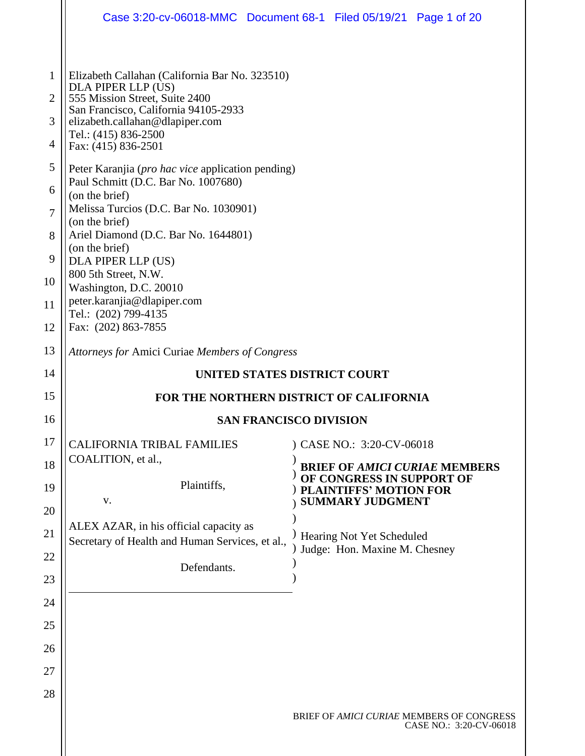|                                                                                 | Case 3:20-cv-06018-MMC  Document 68-1  Filed 05/19/21  Page 1 of 20                                                                                                                                                                                                                                                                                                                                                                                                                                                                                                                 |  |                                                            |                                                                      |
|---------------------------------------------------------------------------------|-------------------------------------------------------------------------------------------------------------------------------------------------------------------------------------------------------------------------------------------------------------------------------------------------------------------------------------------------------------------------------------------------------------------------------------------------------------------------------------------------------------------------------------------------------------------------------------|--|------------------------------------------------------------|----------------------------------------------------------------------|
| 1<br>$\overline{2}$<br>3<br>4<br>5<br>6<br>$\overline{7}$<br>8<br>9<br>10<br>11 | Elizabeth Callahan (California Bar No. 323510)<br>DLA PIPER LLP (US)<br>555 Mission Street, Suite 2400<br>San Francisco, California 94105-2933<br>elizabeth.callahan@dlapiper.com<br>Tel.: (415) 836-2500<br>Fax: (415) 836-2501<br>Peter Karanjia ( <i>pro hac vice</i> application pending)<br>Paul Schmitt (D.C. Bar No. 1007680)<br>(on the brief)<br>Melissa Turcios (D.C. Bar No. 1030901)<br>(on the brief)<br>Ariel Diamond (D.C. Bar No. 1644801)<br>(on the brief)<br>DLA PIPER LLP (US)<br>800 5th Street, N.W.<br>Washington, D.C. 20010<br>peter.karanjia@dlapiper.com |  |                                                            |                                                                      |
| 12                                                                              | Tel.: (202) 799-4135<br>Fax: (202) 863-7855                                                                                                                                                                                                                                                                                                                                                                                                                                                                                                                                         |  |                                                            |                                                                      |
| 13                                                                              | Attorneys for Amici Curiae Members of Congress                                                                                                                                                                                                                                                                                                                                                                                                                                                                                                                                      |  |                                                            |                                                                      |
| 14                                                                              | UNITED STATES DISTRICT COURT                                                                                                                                                                                                                                                                                                                                                                                                                                                                                                                                                        |  |                                                            |                                                                      |
| 15                                                                              | FOR THE NORTHERN DISTRICT OF CALIFORNIA                                                                                                                                                                                                                                                                                                                                                                                                                                                                                                                                             |  |                                                            |                                                                      |
| 16                                                                              | <b>SAN FRANCISCO DIVISION</b>                                                                                                                                                                                                                                                                                                                                                                                                                                                                                                                                                       |  |                                                            |                                                                      |
| 17                                                                              | <b>CALIFORNIA TRIBAL FAMILIES</b><br>COALITION, et al.,                                                                                                                                                                                                                                                                                                                                                                                                                                                                                                                             |  | ) CASE NO.: 3:20-CV-06018                                  |                                                                      |
| 18<br>19                                                                        | Plaintiffs,                                                                                                                                                                                                                                                                                                                                                                                                                                                                                                                                                                         |  | OF CONGRESS IN SUPPORT OF<br><b>PLAINTIFFS' MOTION FOR</b> | <b>BRIEF OF AMICI CURIAE MEMBERS</b>                                 |
| 20                                                                              | V.                                                                                                                                                                                                                                                                                                                                                                                                                                                                                                                                                                                  |  | <b>SUMMARY JUDGMENT</b>                                    |                                                                      |
| 21                                                                              | ALEX AZAR, in his official capacity as<br>Secretary of Health and Human Services, et al.,                                                                                                                                                                                                                                                                                                                                                                                                                                                                                           |  | Hearing Not Yet Scheduled                                  |                                                                      |
| 22                                                                              | Defendants.                                                                                                                                                                                                                                                                                                                                                                                                                                                                                                                                                                         |  | Judge: Hon. Maxine M. Chesney                              |                                                                      |
| 23                                                                              |                                                                                                                                                                                                                                                                                                                                                                                                                                                                                                                                                                                     |  |                                                            |                                                                      |
| 24                                                                              |                                                                                                                                                                                                                                                                                                                                                                                                                                                                                                                                                                                     |  |                                                            |                                                                      |
| 25                                                                              |                                                                                                                                                                                                                                                                                                                                                                                                                                                                                                                                                                                     |  |                                                            |                                                                      |
| 26                                                                              |                                                                                                                                                                                                                                                                                                                                                                                                                                                                                                                                                                                     |  |                                                            |                                                                      |
| 27                                                                              |                                                                                                                                                                                                                                                                                                                                                                                                                                                                                                                                                                                     |  |                                                            |                                                                      |
| 28                                                                              |                                                                                                                                                                                                                                                                                                                                                                                                                                                                                                                                                                                     |  |                                                            |                                                                      |
|                                                                                 |                                                                                                                                                                                                                                                                                                                                                                                                                                                                                                                                                                                     |  |                                                            | BRIEF OF AMICI CURIAE MEMBERS OF CONGRESS<br>CASE NO.: 3:20-CV-06018 |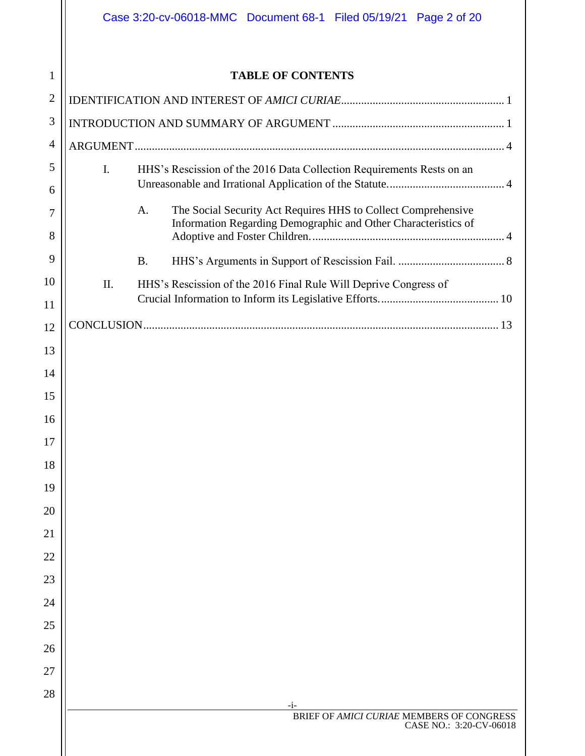|                | Case 3:20-cv-06018-MMC  Document 68-1  Filed 05/19/21  Page 2 of 20                                                                   |  |
|----------------|---------------------------------------------------------------------------------------------------------------------------------------|--|
|                |                                                                                                                                       |  |
| 1              | <b>TABLE OF CONTENTS</b>                                                                                                              |  |
| $\overline{2}$ |                                                                                                                                       |  |
| 3              |                                                                                                                                       |  |
| $\overline{4}$ |                                                                                                                                       |  |
| 5              | $\mathbf{I}$ .<br>HHS's Rescission of the 2016 Data Collection Requirements Rests on an                                               |  |
| 6              |                                                                                                                                       |  |
| 7              | The Social Security Act Requires HHS to Collect Comprehensive<br>A.<br>Information Regarding Demographic and Other Characteristics of |  |
| 8              |                                                                                                                                       |  |
| 9              | <b>B.</b>                                                                                                                             |  |
| 10             | HHS's Rescission of the 2016 Final Rule Will Deprive Congress of<br>Π.                                                                |  |
| 11             |                                                                                                                                       |  |
| 12             |                                                                                                                                       |  |
| 13             |                                                                                                                                       |  |
| 14             |                                                                                                                                       |  |
| 15             |                                                                                                                                       |  |
| 16             |                                                                                                                                       |  |
| 17             |                                                                                                                                       |  |
| 18             |                                                                                                                                       |  |
| 19             |                                                                                                                                       |  |
| 20             |                                                                                                                                       |  |
| 21             |                                                                                                                                       |  |
| 22             |                                                                                                                                       |  |
| 23             |                                                                                                                                       |  |
| 24             |                                                                                                                                       |  |
| 25             |                                                                                                                                       |  |
| 26             |                                                                                                                                       |  |
| 27             |                                                                                                                                       |  |
| 28             |                                                                                                                                       |  |
|                | $-1-$<br>BRIEF OF AMICI CURIAE MEMBERS OF CONGRESS                                                                                    |  |
|                | CASE NO.: 3:20-CV-06018                                                                                                               |  |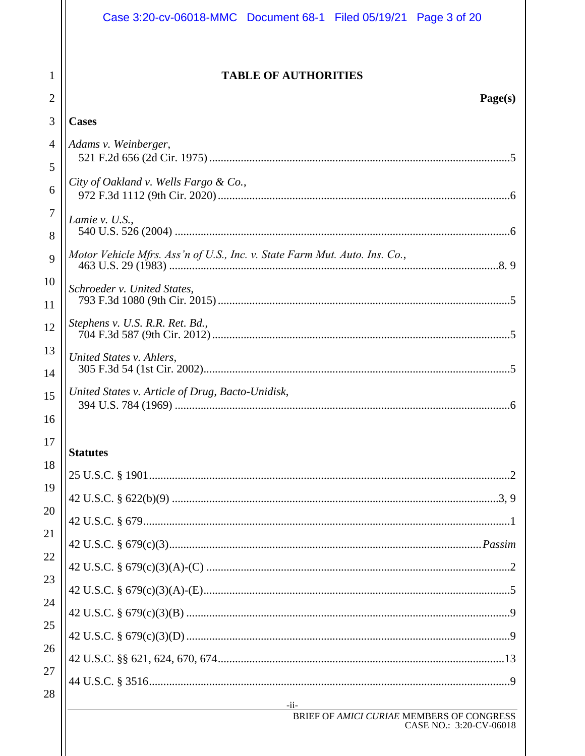|                     | Case 3:20-cv-06018-MMC  Document 68-1  Filed 05/19/21  Page 3 of 20                                   |
|---------------------|-------------------------------------------------------------------------------------------------------|
| 1                   | <b>TABLE OF AUTHORITIES</b>                                                                           |
| $\overline{2}$      | Page(s)                                                                                               |
| 3                   | <b>Cases</b>                                                                                          |
| 4<br>5              | Adams v. Weinberger,                                                                                  |
| 6                   | City of Oakland v. Wells Fargo & Co.,                                                                 |
| $\overline{7}$<br>8 | Lamie v. U.S.,                                                                                        |
| 9                   | Motor Vehicle Mfrs. Ass'n of U.S., Inc. v. State Farm Mut. Auto. Ins. Co.,                            |
| 10<br>11            | Schroeder v. United States,                                                                           |
| 12                  | Stephens v. U.S. R.R. Ret. Bd.,                                                                       |
| 13<br>14            | United States v. Ahlers,                                                                              |
| 15                  | United States v. Article of Drug, Bacto-Unidisk,                                                      |
| 16                  |                                                                                                       |
| 17                  | <b>Statutes</b>                                                                                       |
| 18                  |                                                                                                       |
| 19                  |                                                                                                       |
| 20                  |                                                                                                       |
| 21                  |                                                                                                       |
| 22                  |                                                                                                       |
| 23                  |                                                                                                       |
| 24                  |                                                                                                       |
| 25                  |                                                                                                       |
| 26                  |                                                                                                       |
| 27<br>28            |                                                                                                       |
|                     | $-i$ i-<br><u> 1989 - Johann Barn, mars eta bainar e</u><br>BRIEF OF AMICI CURIAE MEMBERS OF CONGRESS |
|                     | CASE NO.: 3:20-CV-06018                                                                               |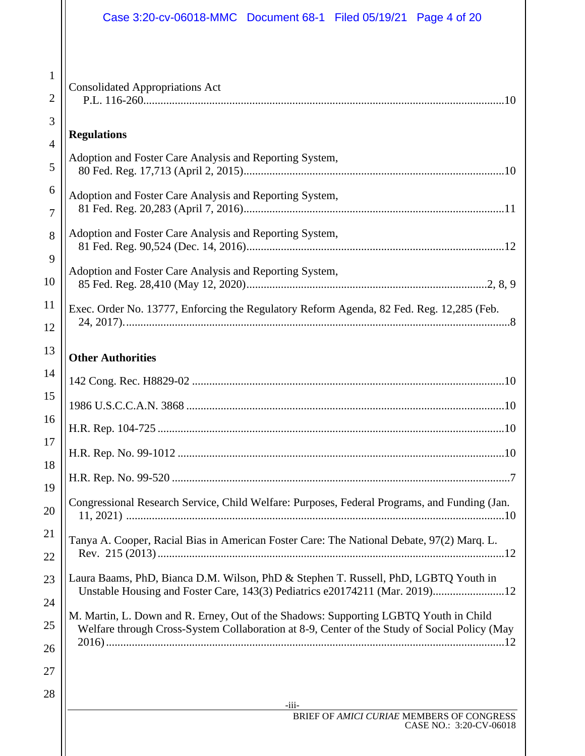|                                | Case 3:20-cv-06018-MMC Document 68-1 Filed 05/19/21 Page 4 of 20                                                                                                                     |
|--------------------------------|--------------------------------------------------------------------------------------------------------------------------------------------------------------------------------------|
|                                |                                                                                                                                                                                      |
| $\mathbf{1}$<br>$\overline{2}$ | <b>Consolidated Appropriations Act</b>                                                                                                                                               |
| 3                              |                                                                                                                                                                                      |
| 4                              | <b>Regulations</b>                                                                                                                                                                   |
| 5                              | Adoption and Foster Care Analysis and Reporting System,                                                                                                                              |
| 6<br>7                         | Adoption and Foster Care Analysis and Reporting System,                                                                                                                              |
| 8                              | Adoption and Foster Care Analysis and Reporting System,                                                                                                                              |
| 9<br>10                        | Adoption and Foster Care Analysis and Reporting System,                                                                                                                              |
| 11<br>12                       | Exec. Order No. 13777, Enforcing the Regulatory Reform Agenda, 82 Fed. Reg. 12,285 (Feb.                                                                                             |
| 13                             | <b>Other Authorities</b>                                                                                                                                                             |
| 14                             |                                                                                                                                                                                      |
| 15                             |                                                                                                                                                                                      |
| 16                             |                                                                                                                                                                                      |
| 17<br>18                       |                                                                                                                                                                                      |
| 19                             |                                                                                                                                                                                      |
| 20                             | Congressional Research Service, Child Welfare: Purposes, Federal Programs, and Funding (Jan.                                                                                         |
| 21<br>22                       | Tanya A. Cooper, Racial Bias in American Foster Care: The National Debate, 97(2) Marq. L.                                                                                            |
| 23                             | Laura Baams, PhD, Bianca D.M. Wilson, PhD & Stephen T. Russell, PhD, LGBTQ Youth in<br>Unstable Housing and Foster Care, 143(3) Pediatrics e20174211 (Mar. 2019)12                   |
| 24<br>25                       | M. Martin, L. Down and R. Erney, Out of the Shadows: Supporting LGBTQ Youth in Child<br>Welfare through Cross-System Collaboration at 8-9, Center of the Study of Social Policy (May |
| 26<br>27                       |                                                                                                                                                                                      |
| 28                             |                                                                                                                                                                                      |
|                                | $-111-$<br>BRIEF OF AMICI CURIAE MEMBERS OF CONGRESS                                                                                                                                 |
|                                | CASE NO.: 3:20-CV-06018                                                                                                                                                              |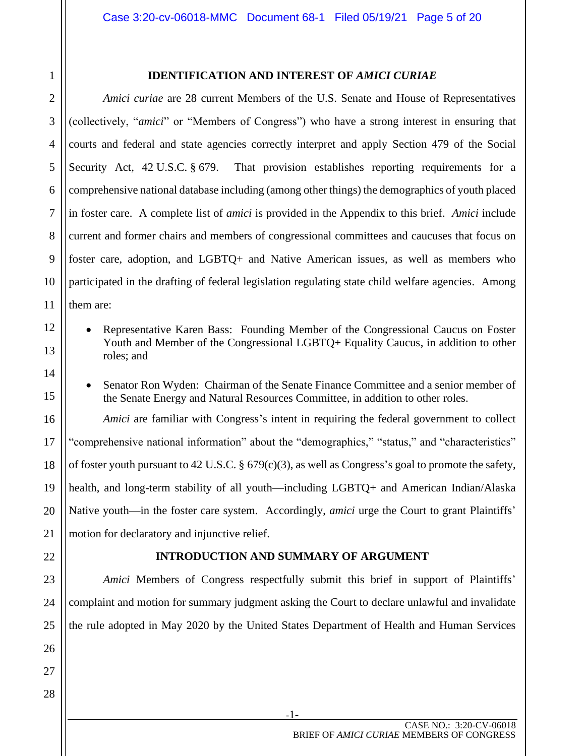<span id="page-4-0"></span>1 2

3

4

5

6

7

8

9

10

11

12

13

14

15

16

17

18

19

#### **IDENTIFICATION AND INTEREST OF** *AMICI CURIAE*

*Amici curiae* are 28 current Members of the U.S. Senate and House of Representatives (collectively, "*amici*" or "Members of Congress") who have a strong interest in ensuring that courts and federal and state agencies correctly interpret and apply Section 479 of the Social Security Act, 42 U.S.C. § 679. That provision establishes reporting requirements for a comprehensive national database including (among other things) the demographics of youth placed in foster care. A complete list of *amici* is provided in the Appendix to this brief. *Amici* include current and former chairs and members of congressional committees and caucuses that focus on foster care, adoption, and LGBTQ+ and Native American issues, as well as members who participated in the drafting of federal legislation regulating state child welfare agencies. Among them are:

- Representative Karen Bass: Founding Member of the Congressional Caucus on Foster Youth and Member of the Congressional LGBTQ+ Equality Caucus, in addition to other roles; and
- Senator Ron Wyden: Chairman of the Senate Finance Committee and a senior member of the Senate Energy and Natural Resources Committee, in addition to other roles.

*Amici* are familiar with Congress's intent in requiring the federal government to collect "comprehensive national information" about the "demographics," "status," and "characteristics" of foster youth pursuant to 42 U.S.C. § 679(c)(3), as well as Congress's goal to promote the safety, health, and long-term stability of all youth—including LGBTQ+ and American Indian/Alaska Native youth—in the foster care system. Accordingly, *amici* urge the Court to grant Plaintiffs' motion for declaratory and injunctive relief.

<span id="page-4-1"></span>

#### **INTRODUCTION AND SUMMARY OF ARGUMENT**

*Amici* Members of Congress respectfully submit this brief in support of Plaintiffs' complaint and motion for summary judgment asking the Court to declare unlawful and invalidate the rule adopted in May 2020 by the United States Department of Health and Human Services

-1-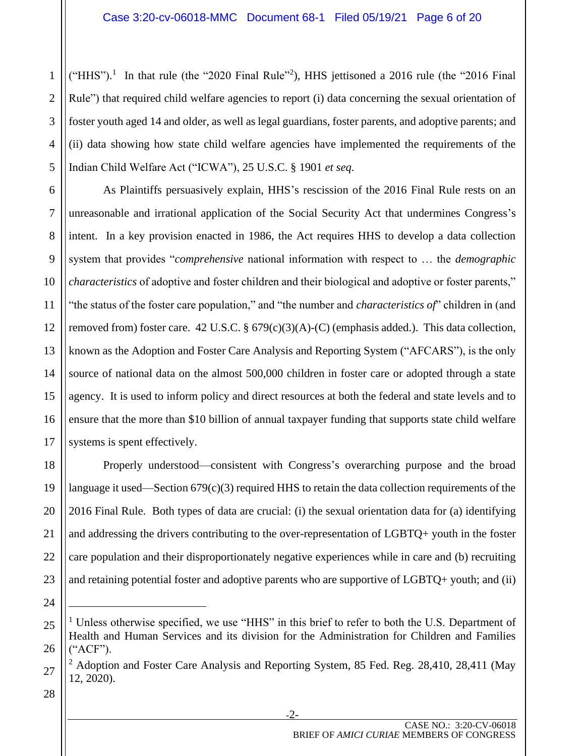("HHS").<sup>1</sup> In that rule (the "2020 Final Rule"<sup>2</sup>), HHS jettisoned a 2016 rule (the "2016 Final Rule") that required child welfare agencies to report (i) data concerning the sexual orientation of foster youth aged 14 and older, as well as legal guardians, foster parents, and adoptive parents; and (ii) data showing how state child welfare agencies have implemented the requirements of the Indian Child Welfare Act ("ICWA"), 25 U.S.C. § 1901 *et seq*.

As Plaintiffs persuasively explain, HHS's rescission of the 2016 Final Rule rests on an unreasonable and irrational application of the Social Security Act that undermines Congress's intent. In a key provision enacted in 1986, the Act requires HHS to develop a data collection system that provides "*comprehensive* national information with respect to … the *demographic characteristics* of adoptive and foster children and their biological and adoptive or foster parents," "the status of the foster care population," and "the number and *characteristics of*" children in (and removed from) foster care. 42 U.S.C. § 679(c)(3)(A)-(C) (emphasis added.). This data collection, known as the Adoption and Foster Care Analysis and Reporting System ("AFCARS"), is the only source of national data on the almost 500,000 children in foster care or adopted through a state agency. It is used to inform policy and direct resources at both the federal and state levels and to ensure that the more than \$10 billion of annual taxpayer funding that supports state child welfare systems is spent effectively.

Properly understood—consistent with Congress's overarching purpose and the broad language it used—Section 679(c)(3) required HHS to retain the data collection requirements of the 2016 Final Rule. Both types of data are crucial: (i) the sexual orientation data for (a) identifying and addressing the drivers contributing to the over-representation of LGBTQ+ youth in the foster care population and their disproportionately negative experiences while in care and (b) recruiting and retaining potential foster and adoptive parents who are supportive of LGBTQ+ youth; and (ii)

28

1

2

3

4

5

6

7

8

9

10

11

12

13

14

15

16

17

18

19

20

21

22

23

24

<sup>25</sup> 26  $<sup>1</sup>$  Unless otherwise specified, we use "HHS" in this brief to refer to both the U.S. Department of</sup> Health and Human Services and its division for the Administration for Children and Families ("ACF").

<sup>&</sup>lt;sup>2</sup> Adoption and Foster Care Analysis and Reporting System, 85 Fed. Reg. 28,410, 28,411 (May 12, 2020).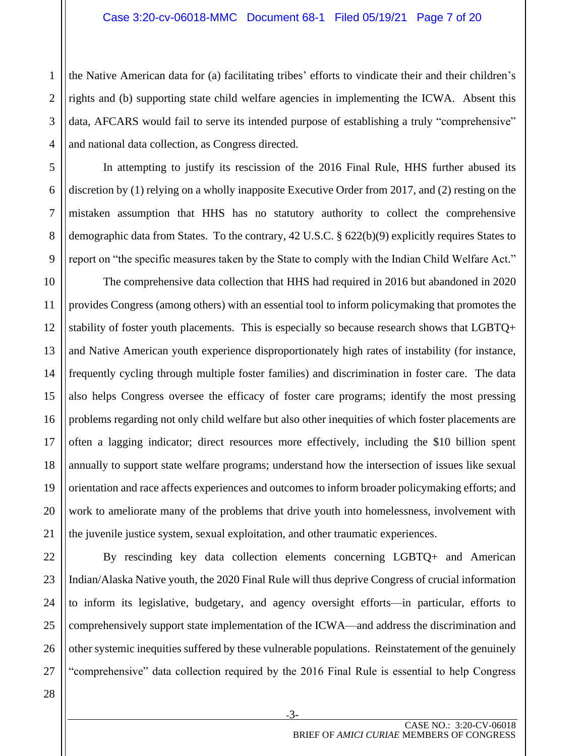the Native American data for (a) facilitating tribes' efforts to vindicate their and their children's rights and (b) supporting state child welfare agencies in implementing the ICWA. Absent this data, AFCARS would fail to serve its intended purpose of establishing a truly "comprehensive" and national data collection, as Congress directed.

In attempting to justify its rescission of the 2016 Final Rule, HHS further abused its discretion by (1) relying on a wholly inapposite Executive Order from 2017, and (2) resting on the mistaken assumption that HHS has no statutory authority to collect the comprehensive demographic data from States. To the contrary, 42 U.S.C. § 622(b)(9) explicitly requires States to report on "the specific measures taken by the State to comply with the Indian Child Welfare Act."

The comprehensive data collection that HHS had required in 2016 but abandoned in 2020 provides Congress (among others) with an essential tool to inform policymaking that promotes the stability of foster youth placements. This is especially so because research shows that LGBTQ+ and Native American youth experience disproportionately high rates of instability (for instance, frequently cycling through multiple foster families) and discrimination in foster care. The data also helps Congress oversee the efficacy of foster care programs; identify the most pressing problems regarding not only child welfare but also other inequities of which foster placements are often a lagging indicator; direct resources more effectively, including the \$10 billion spent annually to support state welfare programs; understand how the intersection of issues like sexual orientation and race affects experiences and outcomes to inform broader policymaking efforts; and work to ameliorate many of the problems that drive youth into homelessness, involvement with the juvenile justice system, sexual exploitation, and other traumatic experiences.

By rescinding key data collection elements concerning LGBTQ+ and American Indian/Alaska Native youth, the 2020 Final Rule will thus deprive Congress of crucial information to inform its legislative, budgetary, and agency oversight efforts—in particular, efforts to comprehensively support state implementation of the ICWA—and address the discrimination and other systemic inequities suffered by these vulnerable populations. Reinstatement of the genuinely "comprehensive" data collection required by the 2016 Final Rule is essential to help Congress

1

2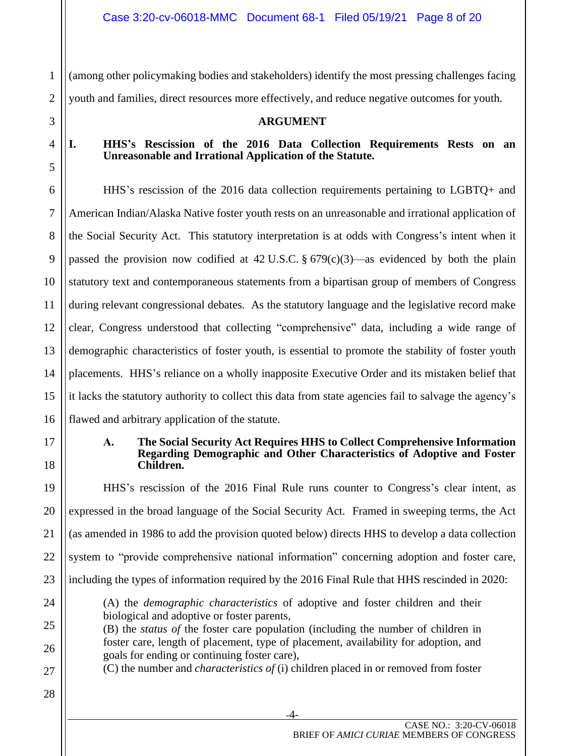1 2 (among other policymaking bodies and stakeholders) identify the most pressing challenges facing youth and families, direct resources more effectively, and reduce negative outcomes for youth.

<span id="page-7-0"></span>3

4

5

6

7

8

9

10

11

12

13

14

15

16

<span id="page-7-2"></span>17

18

19

20

21

22

23

24

27

28

#### **ARGUMENT**

#### <span id="page-7-1"></span>**I. HHS's Rescission of the 2016 Data Collection Requirements Rests on an Unreasonable and Irrational Application of the Statute.**

HHS's rescission of the 2016 data collection requirements pertaining to LGBTQ+ and American Indian/Alaska Native foster youth rests on an unreasonable and irrational application of the Social Security Act. This statutory interpretation is at odds with Congress's intent when it passed the provision now codified at  $42$  U.S.C.  $\S 679(c)(3)$ —as evidenced by both the plain statutory text and contemporaneous statements from a bipartisan group of members of Congress during relevant congressional debates. As the statutory language and the legislative record make clear, Congress understood that collecting "comprehensive" data, including a wide range of demographic characteristics of foster youth, is essential to promote the stability of foster youth placements. HHS's reliance on a wholly inapposite Executive Order and its mistaken belief that it lacks the statutory authority to collect this data from state agencies fail to salvage the agency's flawed and arbitrary application of the statute.

#### **A. The Social Security Act Requires HHS to Collect Comprehensive Information Regarding Demographic and Other Characteristics of Adoptive and Foster Children.**

HHS's rescission of the 2016 Final Rule runs counter to Congress's clear intent, as expressed in the broad language of the Social Security Act. Framed in sweeping terms, the Act (as amended in 1986 to add the provision quoted below) directs HHS to develop a data collection system to "provide comprehensive national information" concerning adoption and foster care, including the types of information required by the 2016 Final Rule that HHS rescinded in 2020: (A) the *demographic characteristics* of adoptive and foster children and their biological and adoptive or foster parents,

- 25 26 (B) the *status of* the foster care population (including the number of children in foster care, length of placement, type of placement, availability for adoption, and goals for ending or continuing foster care),
	- (C) the number and *characteristics of* (i) children placed in or removed from foster
		- -4-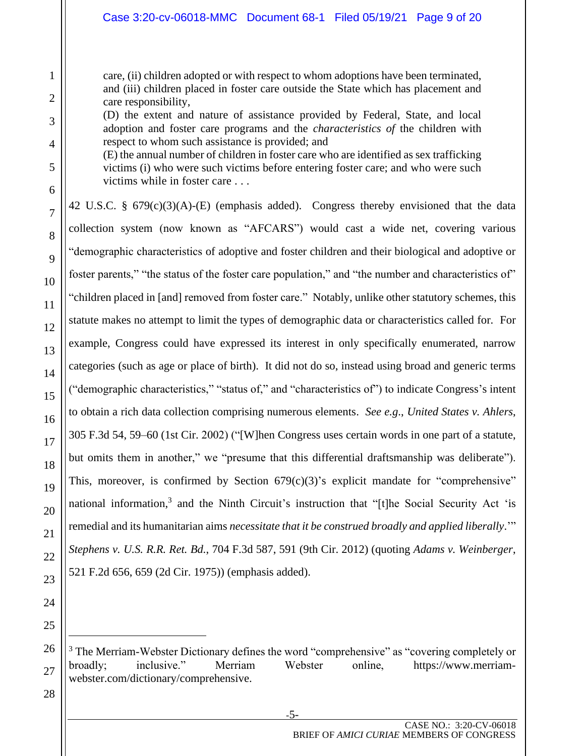care, (ii) children adopted or with respect to whom adoptions have been terminated, and (iii) children placed in foster care outside the State which has placement and care responsibility,

(D) the extent and nature of assistance provided by Federal, State, and local adoption and foster care programs and the *characteristics of* the children with respect to whom such assistance is provided; and

(E) the annual number of children in foster care who are identified as sex trafficking victims (i) who were such victims before entering foster care; and who were such victims while in foster care . . .

42 U.S.C. § 679(c)(3)(A)-(E) (emphasis added). Congress thereby envisioned that the data collection system (now known as "AFCARS") would cast a wide net, covering various "demographic characteristics of adoptive and foster children and their biological and adoptive or foster parents," "the status of the foster care population," and "the number and characteristics of" "children placed in [and] removed from foster care." Notably, unlike other statutory schemes, this statute makes no attempt to limit the types of demographic data or characteristics called for. For example, Congress could have expressed its interest in only specifically enumerated, narrow categories (such as age or place of birth). It did not do so, instead using broad and generic terms ("demographic characteristics," "status of," and "characteristics of") to indicate Congress's intent to obtain a rich data collection comprising numerous elements. *See e.g*., *United States v. Ahlers*, 305 F.3d 54, 59–60 (1st Cir. 2002) ("[W]hen Congress uses certain words in one part of a statute, but omits them in another," we "presume that this differential draftsmanship was deliberate"). This, moreover, is confirmed by Section  $679(c)(3)$ 's explicit mandate for "comprehensive" national information,<sup>3</sup> and the Ninth Circuit's instruction that "[t]he Social Security Act 'is remedial and its humanitarian aims *necessitate that it be construed broadly and applied liberally*.'" *Stephens v. U.S. R.R. Ret. Bd.*, 704 F.3d 587, 591 (9th Cir. 2012) (quoting *Adams v. Weinberger*, 521 F.2d 656, 659 (2d Cir. 1975)) (emphasis added).

-5-

 $3$  The Merriam-Webster Dictionary defines the word "comprehensive" as "covering completely or broadly; inclusive." Merriam Webster online, [https://www.merriam](https://www.merriam-webster.com/dictionary/comprehensive)[webster.com/dictionary/comprehensive.](https://www.merriam-webster.com/dictionary/comprehensive)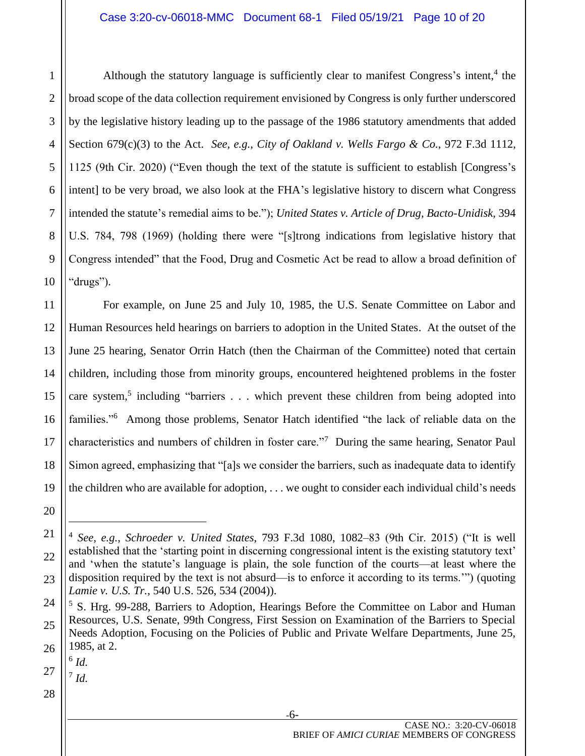Although the statutory language is sufficiently clear to manifest Congress's intent,<sup>4</sup> the broad scope of the data collection requirement envisioned by Congress is only further underscored by the legislative history leading up to the passage of the 1986 statutory amendments that added Section 679(c)(3) to the Act. *See, e.g., City of Oakland v. Wells Fargo & Co.*, 972 F.3d 1112, 1125 (9th Cir. 2020) ("Even though the text of the statute is sufficient to establish [Congress's intent] to be very broad, we also look at the FHA's legislative history to discern what Congress intended the statute's remedial aims to be."); *United States v. Article of Drug, Bacto-Unidisk*, 394 U.S. 784, 798 (1969) (holding there were "[s]trong indications from legislative history that Congress intended" that the Food, Drug and Cosmetic Act be read to allow a broad definition of "drugs").

For example, on June 25 and July 10, 1985, the U.S. Senate Committee on Labor and Human Resources held hearings on barriers to adoption in the United States. At the outset of the June 25 hearing, Senator Orrin Hatch (then the Chairman of the Committee) noted that certain children, including those from minority groups, encountered heightened problems in the foster care system,<sup>5</sup> including "barriers . . . which prevent these children from being adopted into families."<sup>6</sup> Among those problems, Senator Hatch identified "the lack of reliable data on the characteristics and numbers of children in foster care."<sup>7</sup> During the same hearing, Senator Paul Simon agreed, emphasizing that "[a]s we consider the barriers, such as inadequate data to identify the children who are available for adoption, . . . we ought to consider each individual child's needs

1

2

3

4

5

6

7

8

9

10

11

12

13

14

15

16

17

-6-

27 6 *Id.*

7 *Id.*

<sup>18</sup> 19 20 21 22 23

<sup>4</sup> *See, e.g.*, *Schroeder v. United States*, 793 F.3d 1080, 1082–83 (9th Cir. 2015) ("It is well established that the 'starting point in discerning congressional intent is the existing statutory text' and 'when the statute's language is plain, the sole function of the courts—at least where the disposition required by the text is not absurd—is to enforce it according to its terms.'") (quoting *Lamie v. U.S. Tr.*, 540 U.S. 526, 534 (2004)).

<sup>24</sup> 25 26 <sup>5</sup> S. Hrg. 99-288, Barriers to Adoption, Hearings Before the Committee on Labor and Human Resources, U.S. Senate, 99th Congress, First Session on Examination of the Barriers to Special Needs Adoption, Focusing on the Policies of Public and Private Welfare Departments, June 25, 1985, at 2.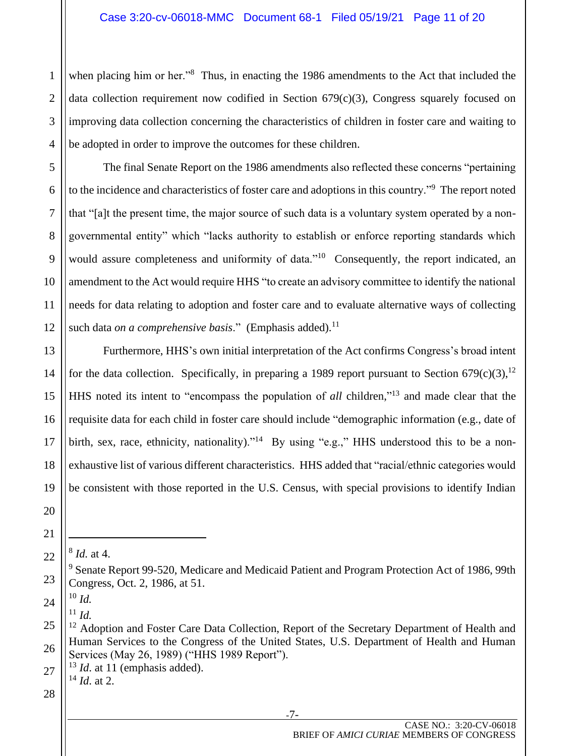when placing him or her."<sup>8</sup> Thus, in enacting the 1986 amendments to the Act that included the data collection requirement now codified in Section  $679(c)(3)$ , Congress squarely focused on improving data collection concerning the characteristics of children in foster care and waiting to be adopted in order to improve the outcomes for these children.

The final Senate Report on the 1986 amendments also reflected these concerns "pertaining to the incidence and characteristics of foster care and adoptions in this country."<sup>9</sup> The report noted that "[a]t the present time, the major source of such data is a voluntary system operated by a nongovernmental entity" which "lacks authority to establish or enforce reporting standards which would assure completeness and uniformity of data."<sup>10</sup> Consequently, the report indicated, an amendment to the Act would require HHS "to create an advisory committee to identify the national needs for data relating to adoption and foster care and to evaluate alternative ways of collecting such data *on a comprehensive basis*." (Emphasis added).<sup>11</sup>

Furthermore, HHS's own initial interpretation of the Act confirms Congress's broad intent for the data collection. Specifically, in preparing a 1989 report pursuant to Section  $679(c)(3)$ ,<sup>12</sup> HHS noted its intent to "encompass the population of *all* children," <sup>13</sup> and made clear that the requisite data for each child in foster care should include "demographic information (e.g., date of birth, sex, race, ethnicity, nationality)."<sup>14</sup> By using "e.g.," HHS understood this to be a nonexhaustive list of various different characteristics. HHS added that "racial/ethnic categories would be consistent with those reported in the U.S. Census, with special provisions to identify Indian

<sup>10</sup> *Id.*  $11$  *Id.* 

28

27

1

2

3

4

5

6

7

8

9

10

11

12

13

14

15

16

17

18

19

20

21

22

23

24

-7-

<sup>8</sup> *Id.* at 4.

<sup>&</sup>lt;sup>9</sup> Senate Report 99-520, Medicare and Medicaid Patient and Program Protection Act of 1986, 99th Congress, Oct. 2, 1986, at 51.

<sup>25</sup> 26 <sup>12</sup> Adoption and Foster Care Data Collection, Report of the Secretary Department of Health and Human Services to the Congress of the United States, U.S. Department of Health and Human Services (May 26, 1989) ("HHS 1989 Report").

<sup>&</sup>lt;sup>13</sup> *Id.* at 11 (emphasis added). <sup>14</sup> *Id*. at 2.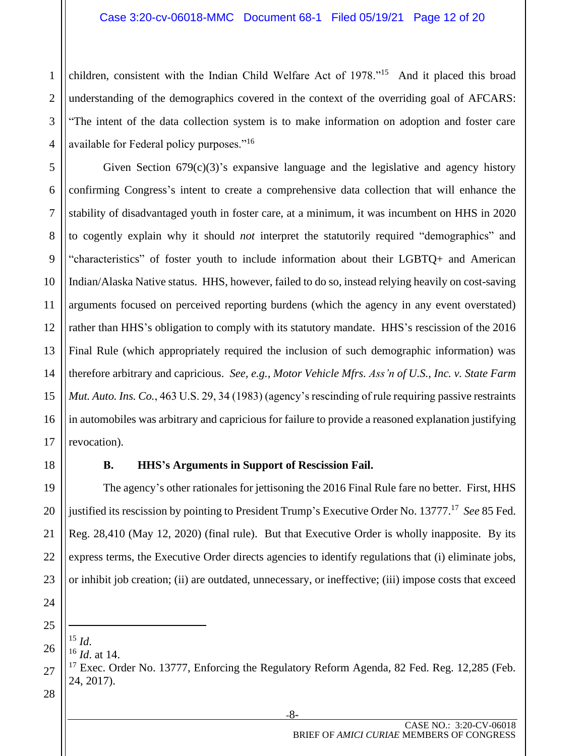children, consistent with the Indian Child Welfare Act of 1978."<sup>15</sup> And it placed this broad understanding of the demographics covered in the context of the overriding goal of AFCARS: "The intent of the data collection system is to make information on adoption and foster care available for Federal policy purposes."<sup>16</sup>

Given Section 679(c)(3)'s expansive language and the legislative and agency history confirming Congress's intent to create a comprehensive data collection that will enhance the stability of disadvantaged youth in foster care, at a minimum, it was incumbent on HHS in 2020 to cogently explain why it should *not* interpret the statutorily required "demographics" and "characteristics" of foster youth to include information about their LGBTQ+ and American Indian/Alaska Native status. HHS, however, failed to do so, instead relying heavily on cost-saving arguments focused on perceived reporting burdens (which the agency in any event overstated) rather than HHS's obligation to comply with its statutory mandate. HHS's rescission of the 2016 Final Rule (which appropriately required the inclusion of such demographic information) was therefore arbitrary and capricious. *See, e.g., Motor Vehicle Mfrs. Ass'n of U.S., Inc. v. State Farm Mut. Auto. Ins. Co.*, 463 U.S. 29, 34 (1983) (agency's rescinding of rule requiring passive restraints in automobiles was arbitrary and capricious for failure to provide a reasoned explanation justifying revocation).

### **B. HHS's Arguments in Support of Rescission Fail.**

<span id="page-11-0"></span>The agency's other rationales for jettisoning the 2016 Final Rule fare no better. First, HHS justified its rescission by pointing to President Trump's Executive Order No. 13777. <sup>17</sup> *See* 85 Fed. Reg. 28,410 (May 12, 2020) (final rule). But that Executive Order is wholly inapposite. By its express terms, the Executive Order directs agencies to identify regulations that (i) eliminate jobs, or inhibit job creation; (ii) are outdated, unnecessary, or ineffective; (iii) impose costs that exceed

 $^{15}$  *Id*.

1

2

3

4

5

6

<sup>16</sup> *Id*. at 14.

 $17$  Exec. Order No. 13777, Enforcing the Regulatory Reform Agenda, 82 Fed. Reg. 12,285 (Feb. 24, 2017).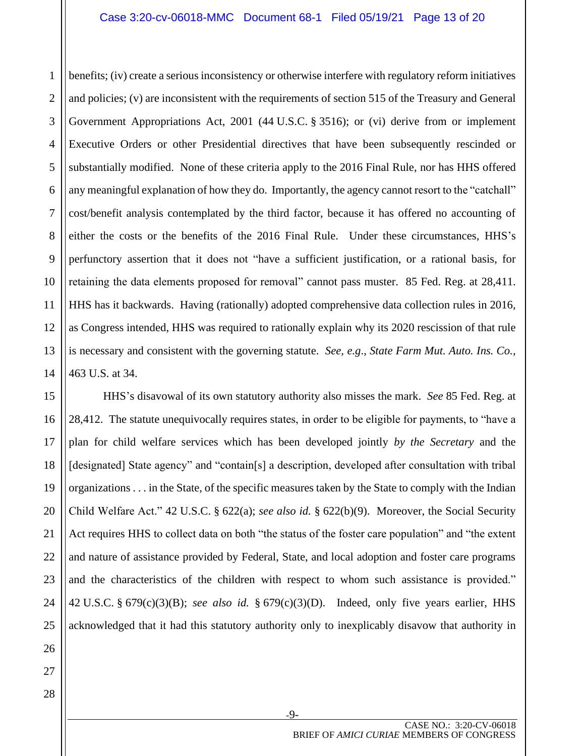#### Case 3:20-cv-06018-MMC Document 68-1 Filed 05/19/21 Page 13 of 20

1 2 3 4 5 6 7 8 benefits; (iv) create a serious inconsistency or otherwise interfere with regulatory reform initiatives and policies; (v) are inconsistent with the requirements of section 515 of the Treasury and General Government Appropriations Act, 2001 (44 U.S.C. § 3516); or (vi) derive from or implement Executive Orders or other Presidential directives that have been subsequently rescinded or substantially modified. None of these criteria apply to the 2016 Final Rule, nor has HHS offered any meaningful explanation of how they do. Importantly, the agency cannot resort to the "catchall" cost/benefit analysis contemplated by the third factor, because it has offered no accounting of either the costs or the benefits of the 2016 Final Rule. Under these circumstances, HHS's perfunctory assertion that it does not "have a sufficient justification, or a rational basis, for retaining the data elements proposed for removal" cannot pass muster. 85 Fed. Reg. at 28,411. HHS has it backwards. Having (rationally) adopted comprehensive data collection rules in 2016, as Congress intended, HHS was required to rationally explain why its 2020 rescission of that rule is necessary and consistent with the governing statute. *See, e.g*., *State Farm Mut. Auto. Ins. Co.*, 463 U.S. at 34.

HHS's disavowal of its own statutory authority also misses the mark. *See* 85 Fed. Reg. at 28,412. The statute unequivocally requires states, in order to be eligible for payments, to "have a plan for child welfare services which has been developed jointly *by the Secretary* and the [designated] State agency" and "contain[s] a description, developed after consultation with tribal organizations . . . in the State, of the specific measures taken by the State to comply with the Indian Child Welfare Act." 42 U.S.C. § 622(a); *see also id.* § 622(b)(9). Moreover, the Social Security Act requires HHS to collect data on both "the status of the foster care population" and "the extent and nature of assistance provided by Federal, State, and local adoption and foster care programs and the characteristics of the children with respect to whom such assistance is provided." 42 U.S.C. § 679(c)(3)(B); *see also id.* § 679(c)(3)(D). Indeed, only five years earlier, HHS acknowledged that it had this statutory authority only to inexplicably disavow that authority in

-9-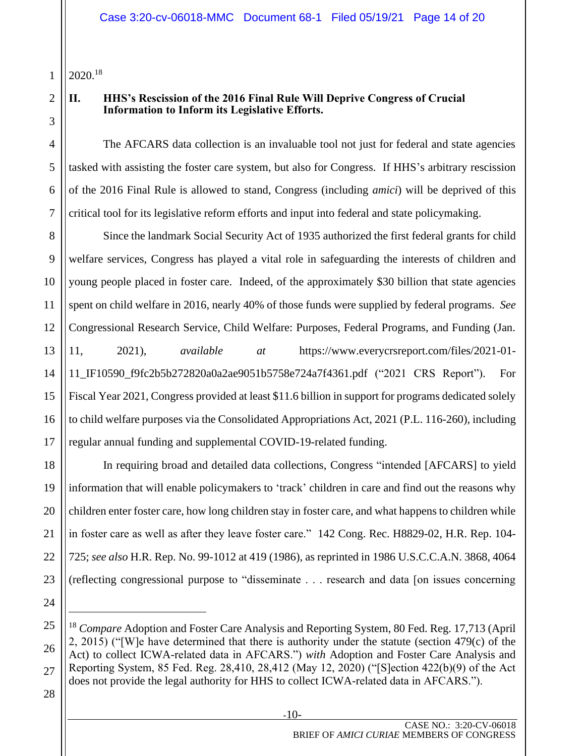1 2020.<sup>18</sup>

# 2

3

#### <span id="page-13-0"></span>**II. HHS's Rescission of the 2016 Final Rule Will Deprive Congress of Crucial Information to Inform its Legislative Efforts.**

The AFCARS data collection is an invaluable tool not just for federal and state agencies tasked with assisting the foster care system, but also for Congress. If HHS's arbitrary rescission of the 2016 Final Rule is allowed to stand, Congress (including *amici*) will be deprived of this critical tool for its legislative reform efforts and input into federal and state policymaking.

Since the landmark Social Security Act of 1935 authorized the first federal grants for child welfare services, Congress has played a vital role in safeguarding the interests of children and young people placed in foster care. Indeed, of the approximately \$30 billion that state agencies spent on child welfare in 2016, nearly 40% of those funds were supplied by federal programs. *See* Congressional Research Service, Child Welfare: Purposes, Federal Programs, and Funding (Jan. 11, 2021), *available at* [https://www.everycrsreport.com/files/2021-01-](https://www.everycrsreport.com/files/2021-01-11_IF10590_f9fc2b5b272820a0a2ae9051b5758e724a7f4361.pdf) [11\\_IF10590\\_f9fc2b5b272820a0a2ae9051b5758e724a7f4361.pdf](https://www.everycrsreport.com/files/2021-01-11_IF10590_f9fc2b5b272820a0a2ae9051b5758e724a7f4361.pdf) ("2021 CRS Report"). For Fiscal Year 2021, Congress provided at least \$11.6 billion in support for programs dedicated solely to child welfare purposes via the Consolidated Appropriations Act, 2021 (P.L. 116-260), including regular annual funding and supplemental COVID-19-related funding.

In requiring broad and detailed data collections, Congress "intended [AFCARS] to yield information that will enable policymakers to 'track' children in care and find out the reasons why children enter foster care, how long children stay in foster care, and what happens to children while in foster care as well as after they leave foster care." 142 Cong. Rec. H8829-02, H.R. Rep. 104- 725; *see also* H.R. Rep. No. 99-1012 at 419 (1986), as reprinted in 1986 U.S.C.C.A.N. 3868, 4064 (reflecting congressional purpose to "disseminate . . . research and data [on issues concerning

-10-

<sup>18</sup> *Compare* Adoption and Foster Care Analysis and Reporting System, 80 Fed. Reg. 17,713 (April 2, 2015) ("[W]e have determined that there is authority under the statute (section 479(c) of the Act) to collect ICWA-related data in AFCARS.") *with* Adoption and Foster Care Analysis and Reporting System, 85 Fed. Reg. 28,410, 28,412 (May 12, 2020) ("[S]ection 422(b)(9) of the Act does not provide the legal authority for HHS to collect ICWA-related data in AFCARS.").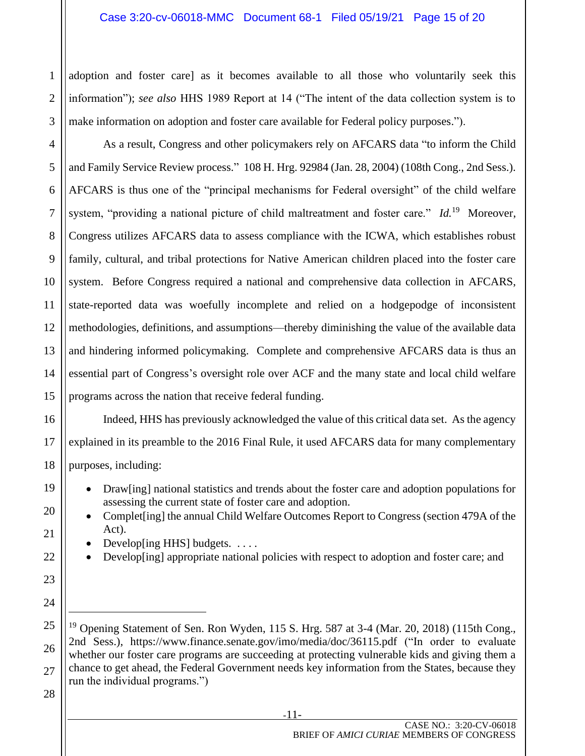adoption and foster care] as it becomes available to all those who voluntarily seek this information"); *see also* HHS 1989 Report at 14 ("The intent of the data collection system is to make information on adoption and foster care available for Federal policy purposes.").

As a result, Congress and other policymakers rely on AFCARS data "to inform the Child and Family Service Review process." 108 H. Hrg. 92984 (Jan. 28, 2004) (108th Cong., 2nd Sess.). AFCARS is thus one of the "principal mechanisms for Federal oversight" of the child welfare system, "providing a national picture of child maltreatment and foster care." *Id.*<sup>19</sup> Moreover, Congress utilizes AFCARS data to assess compliance with the ICWA, which establishes robust family, cultural, and tribal protections for Native American children placed into the foster care system. Before Congress required a national and comprehensive data collection in AFCARS, state-reported data was woefully incomplete and relied on a hodgepodge of inconsistent methodologies, definitions, and assumptions—thereby diminishing the value of the available data and hindering informed policymaking. Complete and comprehensive AFCARS data is thus an essential part of Congress's oversight role over ACF and the many state and local child welfare programs across the nation that receive federal funding.

Indeed, HHS has previously acknowledged the value of this critical data set. As the agency explained in its preamble to the 2016 Final Rule, it used AFCARS data for many complementary purposes, including:

- Draw[ing] national statistics and trends about the foster care and adoption populations for assessing the current state of foster care and adoption.
- Complet [ing] the annual Child Welfare Outcomes Report to Congress (section 479A of the Act).
	- Develop [ing HHS] budgets.  $\dots$ .
- Develop [ing] appropriate national policies with respect to adoption and foster care; and
- 25 26 27 <sup>19</sup> Opening Statement of Sen. Ron Wyden, 115 S. Hrg. 587 at 3-4 (Mar. 20, 2018) (115th Cong., 2nd Sess.), <https://www.finance.senate.gov/imo/media/doc/36115.pdf> ("In order to evaluate whether our foster care programs are succeeding at protecting vulnerable kids and giving them a chance to get ahead, the Federal Government needs key information from the States, because they run the individual programs.")

# 28

1

2

3

4

5

6

7

8

9

10

11

12

13

14

15

16

17

18

19

20

21

22

23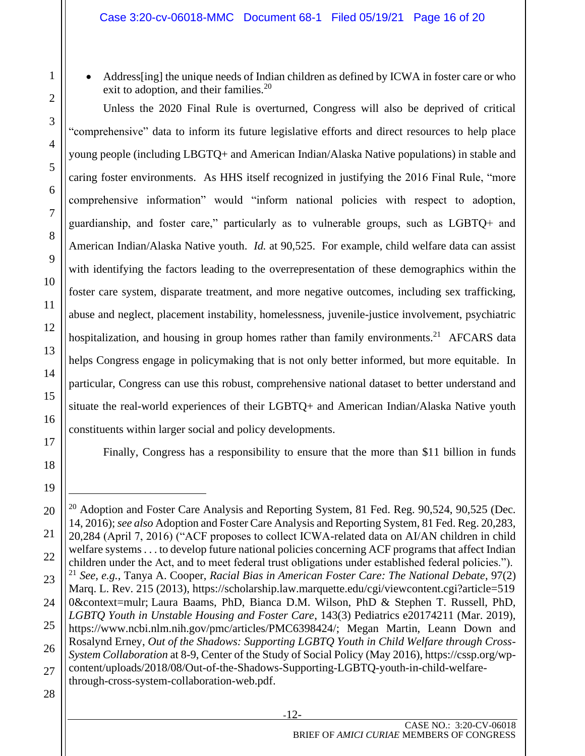1

Address[ing] the unique needs of Indian children as defined by ICWA in foster care or who exit to adoption, and their families.<sup>20</sup>

Unless the 2020 Final Rule is overturned, Congress will also be deprived of critical "comprehensive" data to inform its future legislative efforts and direct resources to help place young people (including LBGTQ+ and American Indian/Alaska Native populations) in stable and caring foster environments. As HHS itself recognized in justifying the 2016 Final Rule, "more comprehensive information" would "inform national policies with respect to adoption, guardianship, and foster care," particularly as to vulnerable groups, such as LGBTQ+ and American Indian/Alaska Native youth. *Id.* at 90,525. For example, child welfare data can assist with identifying the factors leading to the overrepresentation of these demographics within the foster care system, disparate treatment, and more negative outcomes, including sex trafficking, abuse and neglect, placement instability, homelessness, juvenile-justice involvement, psychiatric hospitalization, and housing in group homes rather than family environments.<sup>21</sup> AFCARS data helps Congress engage in policymaking that is not only better informed, but more equitable. In particular, Congress can use this robust, comprehensive national dataset to better understand and situate the real-world experiences of their LGBTQ+ and American Indian/Alaska Native youth constituents within larger social and policy developments.

Finally, Congress has a responsibility to ensure that the more than \$11 billion in funds

<sup>23</sup> 24 25 26 27  $^{20}$  Adoption and Foster Care Analysis and Reporting System, 81 Fed. Reg. 90,524, 90,525 (Dec. 14, 2016); *see also* Adoption and Foster Care Analysis and Reporting System, 81 Fed. Reg. 20,283, 20,284 (April 7, 2016) ("ACF proposes to collect ICWA-related data on AI/AN children in child welfare systems . . . to develop future national policies concerning ACF programs that affect Indian children under the Act, and to meet federal trust obligations under established federal policies."). <sup>21</sup> *See, e.g.*, Tanya A. Cooper, *Racial Bias in American Foster Care: The National Debate*, 97(2) Marq. L. Rev. 215 (2013), https://scholarship.law.marquette.edu/cgi/viewcontent.cgi?article=519 0&context=mulr; Laura Baams, PhD, Bianca D.M. Wilson, PhD & Stephen T. Russell, PhD, *LGBTQ Youth in Unstable Housing and Foster Care*, 143(3) Pediatrics e20174211 (Mar. 2019), [https://www.ncbi.nlm.nih.gov/pmc/articles/PMC6398424/;](https://www.ncbi.nlm.nih.gov/pmc/articles/PMC6398424/) Megan Martin, Leann Down and Rosalynd Erney, *Out of the Shadows: Supporting LGBTQ Youth in Child Welfare through Cross-System Collaboration* at 8-9, Center of the Study of Social Policy (May 2016), [https://cssp.org/wp](https://cssp.org/wp-content/uploads/2018/08/Out-of-the-Shadows-Supporting-LGBTQ-youth-in-child-welfare-through-cross-system-collaboration-web.pdf)[content/uploads/2018/08/Out-of-the-Shadows-Supporting-LGBTQ-youth-in-child-welfare](https://cssp.org/wp-content/uploads/2018/08/Out-of-the-Shadows-Supporting-LGBTQ-youth-in-child-welfare-through-cross-system-collaboration-web.pdf)[through-cross-system-collaboration-web.pdf.](https://cssp.org/wp-content/uploads/2018/08/Out-of-the-Shadows-Supporting-LGBTQ-youth-in-child-welfare-through-cross-system-collaboration-web.pdf)

<sup>28</sup>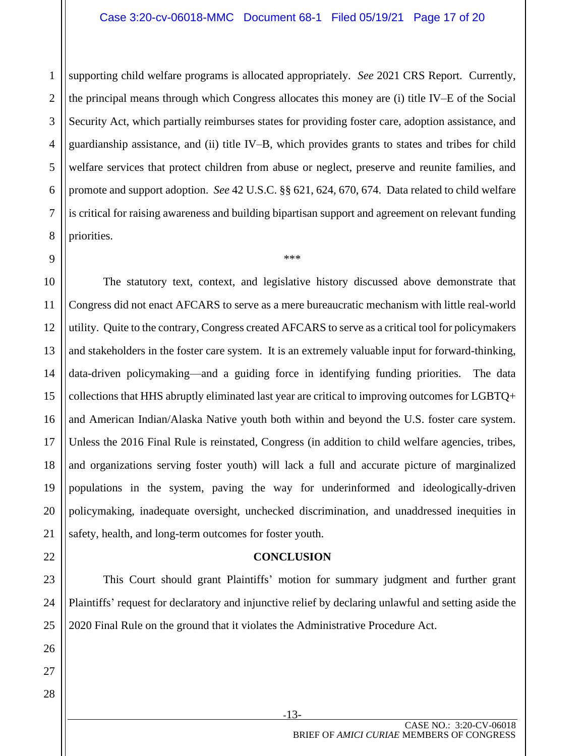#### Case 3:20-cv-06018-MMC Document 68-1 Filed 05/19/21 Page 17 of 20

2 supporting child welfare programs is allocated appropriately. *See* 2021 CRS Report. Currently, the principal means through which Congress allocates this money are (i) title IV–E of the Social Security Act, which partially reimburses states for providing foster care, adoption assistance, and guardianship assistance, and (ii) title IV–B, which provides grants to states and tribes for child welfare services that protect children from abuse or neglect, preserve and reunite families, and promote and support adoption. *See* 42 U.S.C. §§ 621, 624, 670, 674. Data related to child welfare is critical for raising awareness and building bipartisan support and agreement on relevant funding priorities.

\*\*\*

The statutory text, context, and legislative history discussed above demonstrate that Congress did not enact AFCARS to serve as a mere bureaucratic mechanism with little real-world utility. Quite to the contrary, Congress created AFCARS to serve as a critical tool for policymakers and stakeholders in the foster care system. It is an extremely valuable input for forward-thinking, data-driven policymaking—and a guiding force in identifying funding priorities. The data collections that HHS abruptly eliminated last year are critical to improving outcomes for LGBTQ+ and American Indian/Alaska Native youth both within and beyond the U.S. foster care system. Unless the 2016 Final Rule is reinstated, Congress (in addition to child welfare agencies, tribes, and organizations serving foster youth) will lack a full and accurate picture of marginalized populations in the system, paving the way for underinformed and ideologically-driven policymaking, inadequate oversight, unchecked discrimination, and unaddressed inequities in safety, health, and long-term outcomes for foster youth.

#### **CONCLUSION**

<span id="page-16-0"></span>This Court should grant Plaintiffs' motion for summary judgment and further grant Plaintiffs' request for declaratory and injunctive relief by declaring unlawful and setting aside the 2020 Final Rule on the ground that it violates the Administrative Procedure Act.

-13-

1

CASE NO.: 3:20-CV-06018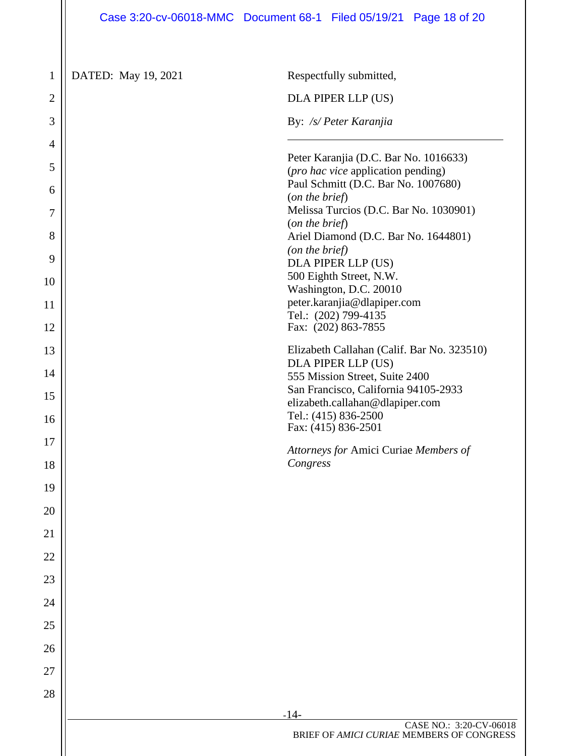## Case 3:20-cv-06018-MMC Document 68-1 Filed 05/19/21 Page 18 of 20

| $\mathbf{1}$   | DATED: May 19, 2021 | Respectfully submitted,                                                             |
|----------------|---------------------|-------------------------------------------------------------------------------------|
| $\overline{2}$ |                     | DLA PIPER LLP (US)                                                                  |
| 3              |                     | By: /s/ Peter Karanjia                                                              |
| 4              |                     |                                                                                     |
| 5              |                     | Peter Karanjia (D.C. Bar No. 1016633)<br>( <i>pro hac vice</i> application pending) |
| 6              |                     | Paul Schmitt (D.C. Bar No. 1007680)<br>(on the brief)                               |
| 7              |                     | Melissa Turcios (D.C. Bar No. 1030901)                                              |
| 8              |                     | (on the brief)<br>Ariel Diamond (D.C. Bar No. 1644801)                              |
| 9              |                     | (on the brief)                                                                      |
|                |                     | DLA PIPER LLP (US)<br>500 Eighth Street, N.W.                                       |
| 10             |                     | Washington, D.C. 20010                                                              |
| 11             |                     | peter.karanjia@dlapiper.com<br>Tel.: (202) 799-4135                                 |
| 12             |                     | Fax: (202) 863-7855                                                                 |
| 13             |                     | Elizabeth Callahan (Calif. Bar No. 323510)                                          |
| 14             |                     | DLA PIPER LLP (US)                                                                  |
|                |                     | 555 Mission Street, Suite 2400<br>San Francisco, California 94105-2933              |
| 15             |                     | elizabeth.callahan@dlapiper.com                                                     |
| 16             |                     | Tel.: (415) 836-2500<br>Fax: (415) 836-2501                                         |
| 17             |                     | Attorneys for Amici Curiae Members of                                               |
| 18             |                     | Congress                                                                            |
| 19             |                     |                                                                                     |
| 20             |                     |                                                                                     |
| 21             |                     |                                                                                     |
| 22             |                     |                                                                                     |
| 23             |                     |                                                                                     |
| 24             |                     |                                                                                     |
| 25             |                     |                                                                                     |
| 26             |                     |                                                                                     |
| 27             |                     |                                                                                     |
| 28             |                     |                                                                                     |
|                |                     | $-14-$                                                                              |
|                |                     | CASE NO.: 3:20-CV-06018<br>BRIEF OF AMICI CURIAE MEMBERS OF CONGRESS                |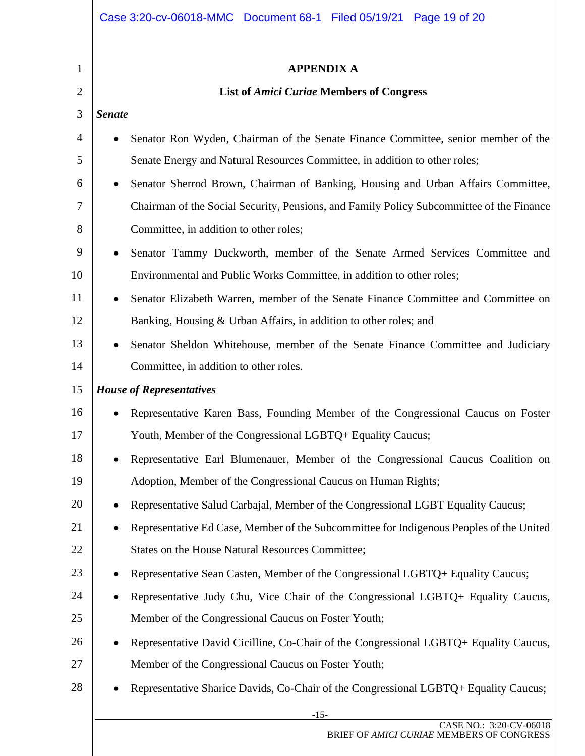|                | Case 3:20-cv-06018-MMC  Document 68-1  Filed 05/19/21  Page 19 of 20                     |
|----------------|------------------------------------------------------------------------------------------|
| 1              | <b>APPENDIX A</b>                                                                        |
| $\overline{2}$ | <b>List of Amici Curiae Members of Congress</b>                                          |
| 3              | <b>Senate</b>                                                                            |
| 4              | Senator Ron Wyden, Chairman of the Senate Finance Committee, senior member of the        |
| 5              | Senate Energy and Natural Resources Committee, in addition to other roles;               |
| 6              | Senator Sherrod Brown, Chairman of Banking, Housing and Urban Affairs Committee,         |
| 7              | Chairman of the Social Security, Pensions, and Family Policy Subcommittee of the Finance |
| 8              | Committee, in addition to other roles;                                                   |
| 9              | Senator Tammy Duckworth, member of the Senate Armed Services Committee and               |
| 10             | Environmental and Public Works Committee, in addition to other roles;                    |
| 11             | Senator Elizabeth Warren, member of the Senate Finance Committee and Committee on        |
| 12             | Banking, Housing & Urban Affairs, in addition to other roles; and                        |
| 13             | Senator Sheldon Whitehouse, member of the Senate Finance Committee and Judiciary         |
| 14             | Committee, in addition to other roles.                                                   |
| 15             | <b>House of Representatives</b>                                                          |
| 16             | Representative Karen Bass, Founding Member of the Congressional Caucus on Foster         |
| 17             | Youth, Member of the Congressional LGBTQ+ Equality Caucus;                               |
| 18             | Representative Earl Blumenauer, Member of the Congressional Caucus Coalition on          |
| 19             | Adoption, Member of the Congressional Caucus on Human Rights;                            |
| 20             | Representative Salud Carbajal, Member of the Congressional LGBT Equality Caucus;         |
| 21             | Representative Ed Case, Member of the Subcommittee for Indigenous Peoples of the United  |
| 22             | States on the House Natural Resources Committee;                                         |
| 23             | Representative Sean Casten, Member of the Congressional LGBTQ+ Equality Caucus;          |
| 24             | Representative Judy Chu, Vice Chair of the Congressional LGBTQ+ Equality Caucus,         |
| 25             | Member of the Congressional Caucus on Foster Youth;                                      |
| 26             | Representative David Cicilline, Co-Chair of the Congressional LGBTQ+ Equality Caucus,    |
| 27             | Member of the Congressional Caucus on Foster Youth;                                      |
| 28             | Representative Sharice Davids, Co-Chair of the Congressional LGBTQ+ Equality Caucus;     |
|                | $-15-$<br>CASE NO.: 3:20-CV-06018                                                        |
|                | BRIEF OF AMICI CURIAE MEMBERS OF CONGRESS                                                |